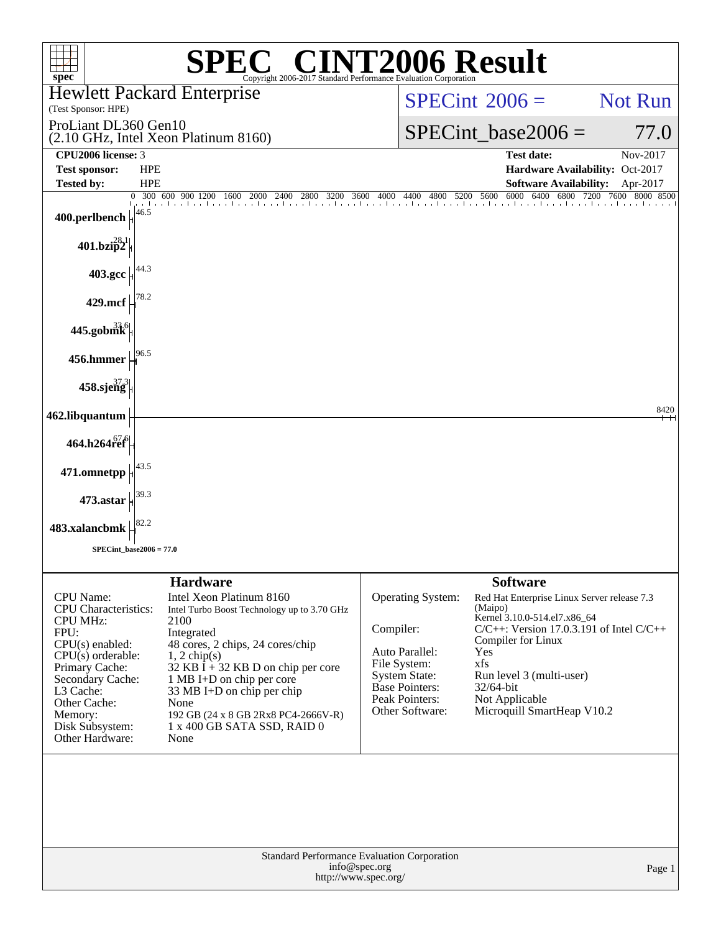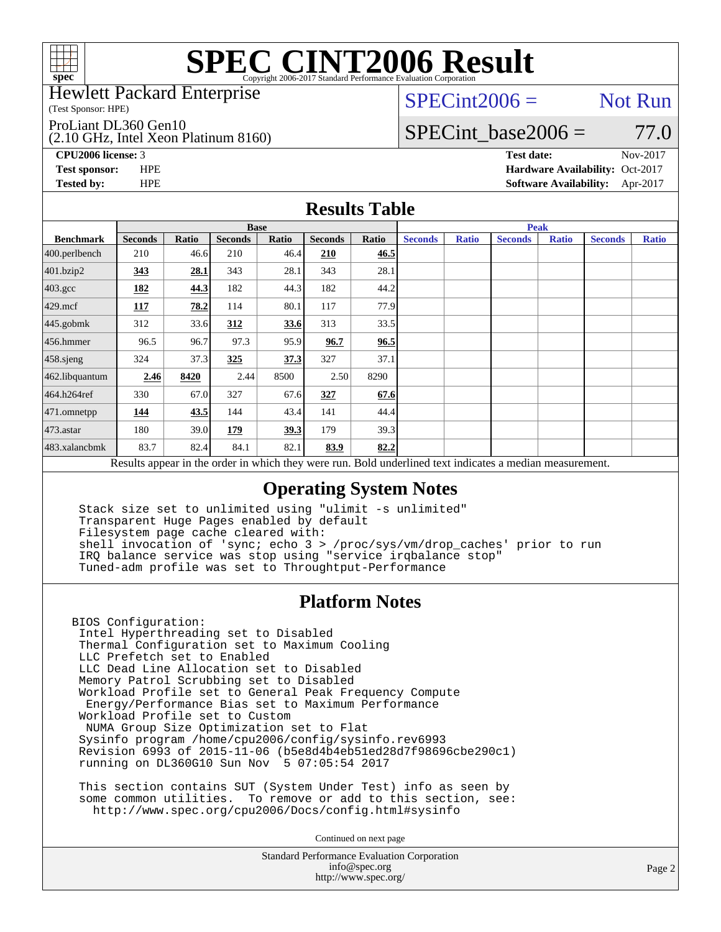

Hewlett Packard Enterprise

(Test Sponsor: HPE)

ProLiant DL360 Gen10

(2.10 GHz, Intel Xeon Platinum 8160)

 $SPECint2006 =$  Not Run

SPECint base2006 =  $77.0$ 

**[CPU2006 license:](http://www.spec.org/auto/cpu2006/Docs/result-fields.html#CPU2006license)** 3 **[Test date:](http://www.spec.org/auto/cpu2006/Docs/result-fields.html#Testdate)** Nov-2017

**[Test sponsor:](http://www.spec.org/auto/cpu2006/Docs/result-fields.html#Testsponsor)** HPE **[Hardware Availability:](http://www.spec.org/auto/cpu2006/Docs/result-fields.html#HardwareAvailability)** Oct-2017 **[Tested by:](http://www.spec.org/auto/cpu2006/Docs/result-fields.html#Testedby)** HPE **[Software Availability:](http://www.spec.org/auto/cpu2006/Docs/result-fields.html#SoftwareAvailability)** Apr-2017

### **[Results Table](http://www.spec.org/auto/cpu2006/Docs/result-fields.html#ResultsTable)**

|                                                                                                          | <b>Base</b>    |       |                |       |                |       | <b>Peak</b>    |              |                |              |                |              |
|----------------------------------------------------------------------------------------------------------|----------------|-------|----------------|-------|----------------|-------|----------------|--------------|----------------|--------------|----------------|--------------|
| <b>Benchmark</b>                                                                                         | <b>Seconds</b> | Ratio | <b>Seconds</b> | Ratio | <b>Seconds</b> | Ratio | <b>Seconds</b> | <b>Ratio</b> | <b>Seconds</b> | <b>Ratio</b> | <b>Seconds</b> | <b>Ratio</b> |
| $400.$ perlbench                                                                                         | 210            | 46.6  | 210            | 46.4  | 210            | 46.5  |                |              |                |              |                |              |
| 401.bzip2                                                                                                | 343            | 28.1  | 343            | 28.1  | 343            | 28.1  |                |              |                |              |                |              |
| $403.\mathrm{gcc}$                                                                                       | 182            | 44.3  | 182            | 44.3  | 182            | 44.2  |                |              |                |              |                |              |
| $429$ .mcf                                                                                               | 117            | 78.2  | 114            | 80.1  | 117            | 77.9  |                |              |                |              |                |              |
| $445$ .gobmk                                                                                             | 312            | 33.6  | 312            | 33.6  | 313            | 33.5  |                |              |                |              |                |              |
| $456.$ hmmer                                                                                             | 96.5           | 96.7  | 97.3           | 95.9  | 96.7           | 96.5  |                |              |                |              |                |              |
| 458.sjeng                                                                                                | 324            | 37.3  | 325            | 37.3  | 327            | 37.1  |                |              |                |              |                |              |
| 462.libquantum                                                                                           | 2.46           | 8420  | 2.44           | 8500  | 2.50           | 8290  |                |              |                |              |                |              |
| 464.h264ref                                                                                              | 330            | 67.0  | 327            | 67.6  | 327            | 67.6  |                |              |                |              |                |              |
| $ 471$ .omnetpp                                                                                          | 144            | 43.5  | 144            | 43.4  | 141            | 44.4  |                |              |                |              |                |              |
| $473$ . astar                                                                                            | 180            | 39.0  | 179            | 39.3  | 179            | 39.3  |                |              |                |              |                |              |
| 483.xalancbmk                                                                                            | 83.7           | 82.4  | 84.1           | 82.1  | 83.9           | 82.2  |                |              |                |              |                |              |
| Results appear in the order in which they were run. Bold underlined text indicates a median measurement. |                |       |                |       |                |       |                |              |                |              |                |              |

### **[Operating System Notes](http://www.spec.org/auto/cpu2006/Docs/result-fields.html#OperatingSystemNotes)**

 Stack size set to unlimited using "ulimit -s unlimited" Transparent Huge Pages enabled by default Filesystem page cache cleared with: shell invocation of 'sync; echo 3 > /proc/sys/vm/drop\_caches' prior to run IRQ balance service was stop using "service irqbalance stop" Tuned-adm profile was set to Throughtput-Performance

### **[Platform Notes](http://www.spec.org/auto/cpu2006/Docs/result-fields.html#PlatformNotes)**

BIOS Configuration: Intel Hyperthreading set to Disabled Thermal Configuration set to Maximum Cooling LLC Prefetch set to Enabled LLC Dead Line Allocation set to Disabled Memory Patrol Scrubbing set to Disabled Workload Profile set to General Peak Frequency Compute Energy/Performance Bias set to Maximum Performance Workload Profile set to Custom NUMA Group Size Optimization set to Flat Sysinfo program /home/cpu2006/config/sysinfo.rev6993 Revision 6993 of 2015-11-06 (b5e8d4b4eb51ed28d7f98696cbe290c1) running on DL360G10 Sun Nov 5 07:05:54 2017

 This section contains SUT (System Under Test) info as seen by some common utilities. To remove or add to this section, see: <http://www.spec.org/cpu2006/Docs/config.html#sysinfo>

Continued on next page

Standard Performance Evaluation Corporation [info@spec.org](mailto:info@spec.org) <http://www.spec.org/>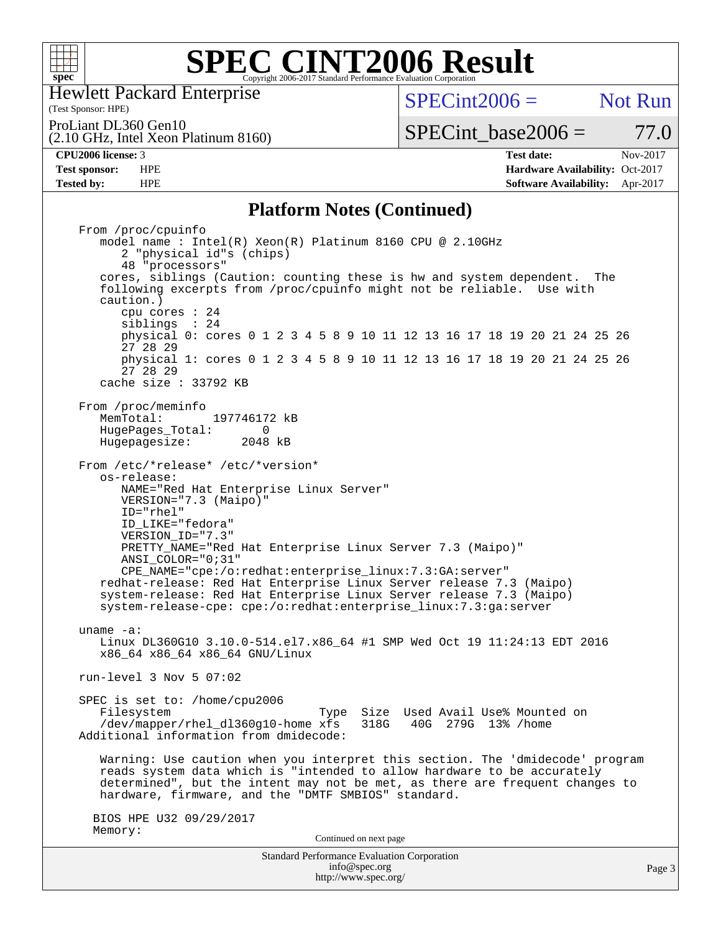

Hewlett Packard Enterprise

(Test Sponsor: HPE)

 $SPECint2006 =$  Not Run

ProLiant DL360 Gen10

(2.10 GHz, Intel Xeon Platinum 8160)

SPECint base2006 =  $77.0$ **[CPU2006 license:](http://www.spec.org/auto/cpu2006/Docs/result-fields.html#CPU2006license)** 3 **[Test date:](http://www.spec.org/auto/cpu2006/Docs/result-fields.html#Testdate)** Nov-2017

**[Test sponsor:](http://www.spec.org/auto/cpu2006/Docs/result-fields.html#Testsponsor)** HPE **[Hardware Availability:](http://www.spec.org/auto/cpu2006/Docs/result-fields.html#HardwareAvailability)** Oct-2017 **[Tested by:](http://www.spec.org/auto/cpu2006/Docs/result-fields.html#Testedby)** HPE **[Software Availability:](http://www.spec.org/auto/cpu2006/Docs/result-fields.html#SoftwareAvailability)** Apr-2017

### **[Platform Notes \(Continued\)](http://www.spec.org/auto/cpu2006/Docs/result-fields.html#PlatformNotes)**

Standard Performance Evaluation Corporation [info@spec.org](mailto:info@spec.org) From /proc/cpuinfo model name : Intel(R) Xeon(R) Platinum 8160 CPU @ 2.10GHz 2 "physical id"s (chips) 48 "processors" cores, siblings (Caution: counting these is hw and system dependent. The following excerpts from /proc/cpuinfo might not be reliable. Use with caution.) cpu cores : 24 siblings : 24 physical 0: cores 0 1 2 3 4 5 8 9 10 11 12 13 16 17 18 19 20 21 24 25 26 27 28 29 physical 1: cores 0 1 2 3 4 5 8 9 10 11 12 13 16 17 18 19 20 21 24 25 26 27 28 29 cache size : 33792 KB From /proc/meminfo<br>MemTotal: 197746172 kB HugePages\_Total: 0<br>Hugepagesize: 2048 kB Hugepagesize: From /etc/\*release\* /etc/\*version\* os-release: NAME="Red Hat Enterprise Linux Server" VERSION="7.3 (Maipo)" ID="rhel" ID\_LIKE="fedora" VERSION\_ID="7.3" PRETTY\_NAME="Red Hat Enterprise Linux Server 7.3 (Maipo)" ANSI\_COLOR="0;31" CPE\_NAME="cpe:/o:redhat:enterprise\_linux:7.3:GA:server" redhat-release: Red Hat Enterprise Linux Server release 7.3 (Maipo) system-release: Red Hat Enterprise Linux Server release 7.3 (Maipo) system-release-cpe: cpe:/o:redhat:enterprise\_linux:7.3:ga:server uname -a: Linux DL360G10 3.10.0-514.el7.x86\_64 #1 SMP Wed Oct 19 11:24:13 EDT 2016 x86\_64 x86\_64 x86\_64 GNU/Linux run-level 3 Nov 5 07:02 SPEC is set to: /home/cpu2006 Filesystem Type Size Used Avail Use% Mounted on<br>
/dev/mapper/rhel dl360q10-home xfs 318G 40G 279G 13% /home /dev/mapper/rhel\_dl360g10-home xfs Additional information from dmidecode: Warning: Use caution when you interpret this section. The 'dmidecode' program reads system data which is "intended to allow hardware to be accurately determined", but the intent may not be met, as there are frequent changes to hardware, firmware, and the "DMTF SMBIOS" standard. BIOS HPE U32 09/29/2017 Memory: Continued on next page

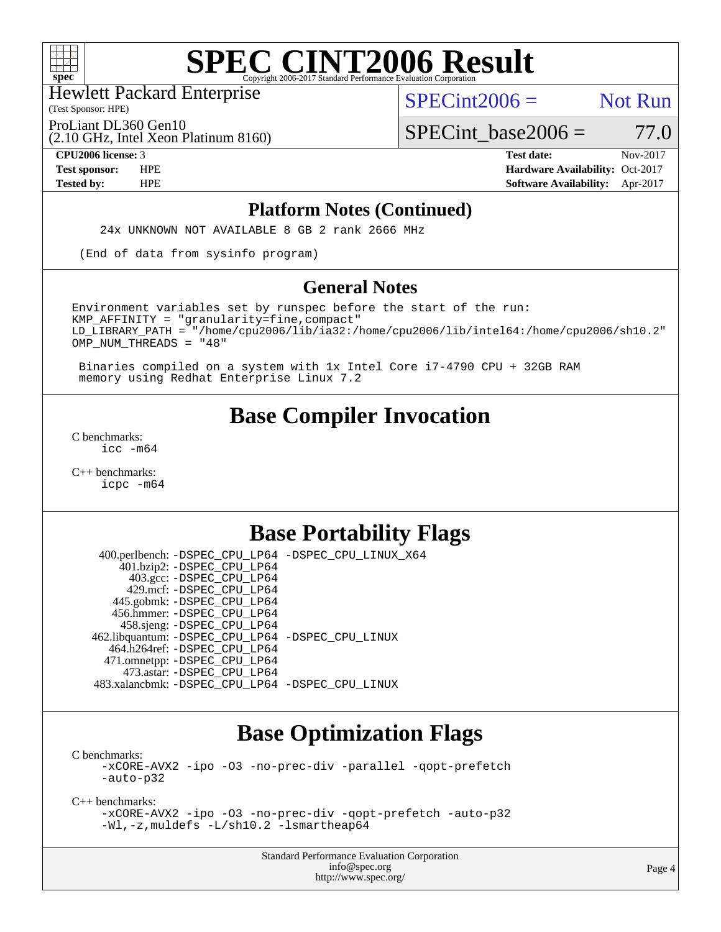

Hewlett Packard Enterprise

(2.10 GHz, Intel Xeon Platinum 8160)

(Test Sponsor: HPE)

 $SPECint2006 =$  Not Run

ProLiant DL360 Gen10

 $SPECTnt\_base2006 = 77.0$ 

**[CPU2006 license:](http://www.spec.org/auto/cpu2006/Docs/result-fields.html#CPU2006license)** 3 **[Test date:](http://www.spec.org/auto/cpu2006/Docs/result-fields.html#Testdate)** Nov-2017 **[Test sponsor:](http://www.spec.org/auto/cpu2006/Docs/result-fields.html#Testsponsor)** HPE **[Hardware Availability:](http://www.spec.org/auto/cpu2006/Docs/result-fields.html#HardwareAvailability)** Oct-2017 **[Tested by:](http://www.spec.org/auto/cpu2006/Docs/result-fields.html#Testedby)** HPE **[Software Availability:](http://www.spec.org/auto/cpu2006/Docs/result-fields.html#SoftwareAvailability)** Apr-2017

#### **[Platform Notes \(Continued\)](http://www.spec.org/auto/cpu2006/Docs/result-fields.html#PlatformNotes)**

24x UNKNOWN NOT AVAILABLE 8 GB 2 rank 2666 MHz

(End of data from sysinfo program)

#### **[General Notes](http://www.spec.org/auto/cpu2006/Docs/result-fields.html#GeneralNotes)**

Environment variables set by runspec before the start of the run:  $KMP$  AFFINITY = "granularity=fine, compact" LD\_LIBRARY\_PATH = "/home/cpu2006/lib/ia32:/home/cpu2006/lib/intel64:/home/cpu2006/sh10.2" OMP\_NUM\_THREADS = "48"

 Binaries compiled on a system with 1x Intel Core i7-4790 CPU + 32GB RAM memory using Redhat Enterprise Linux 7.2

## **[Base Compiler Invocation](http://www.spec.org/auto/cpu2006/Docs/result-fields.html#BaseCompilerInvocation)**

[C benchmarks](http://www.spec.org/auto/cpu2006/Docs/result-fields.html#Cbenchmarks): [icc -m64](http://www.spec.org/cpu2006/results/res2017q4/cpu2006-20171114-50649.flags.html#user_CCbase_intel_icc_64bit_bda6cc9af1fdbb0edc3795bac97ada53)

[C++ benchmarks:](http://www.spec.org/auto/cpu2006/Docs/result-fields.html#CXXbenchmarks) [icpc -m64](http://www.spec.org/cpu2006/results/res2017q4/cpu2006-20171114-50649.flags.html#user_CXXbase_intel_icpc_64bit_fc66a5337ce925472a5c54ad6a0de310)

# **[Base Portability Flags](http://www.spec.org/auto/cpu2006/Docs/result-fields.html#BasePortabilityFlags)**

 400.perlbench: [-DSPEC\\_CPU\\_LP64](http://www.spec.org/cpu2006/results/res2017q4/cpu2006-20171114-50649.flags.html#b400.perlbench_basePORTABILITY_DSPEC_CPU_LP64) [-DSPEC\\_CPU\\_LINUX\\_X64](http://www.spec.org/cpu2006/results/res2017q4/cpu2006-20171114-50649.flags.html#b400.perlbench_baseCPORTABILITY_DSPEC_CPU_LINUX_X64) 401.bzip2: [-DSPEC\\_CPU\\_LP64](http://www.spec.org/cpu2006/results/res2017q4/cpu2006-20171114-50649.flags.html#suite_basePORTABILITY401_bzip2_DSPEC_CPU_LP64) 403.gcc: [-DSPEC\\_CPU\\_LP64](http://www.spec.org/cpu2006/results/res2017q4/cpu2006-20171114-50649.flags.html#suite_basePORTABILITY403_gcc_DSPEC_CPU_LP64) 429.mcf: [-DSPEC\\_CPU\\_LP64](http://www.spec.org/cpu2006/results/res2017q4/cpu2006-20171114-50649.flags.html#suite_basePORTABILITY429_mcf_DSPEC_CPU_LP64) 445.gobmk: [-DSPEC\\_CPU\\_LP64](http://www.spec.org/cpu2006/results/res2017q4/cpu2006-20171114-50649.flags.html#suite_basePORTABILITY445_gobmk_DSPEC_CPU_LP64) 456.hmmer: [-DSPEC\\_CPU\\_LP64](http://www.spec.org/cpu2006/results/res2017q4/cpu2006-20171114-50649.flags.html#suite_basePORTABILITY456_hmmer_DSPEC_CPU_LP64) 458.sjeng: [-DSPEC\\_CPU\\_LP64](http://www.spec.org/cpu2006/results/res2017q4/cpu2006-20171114-50649.flags.html#suite_basePORTABILITY458_sjeng_DSPEC_CPU_LP64) 462.libquantum: [-DSPEC\\_CPU\\_LP64](http://www.spec.org/cpu2006/results/res2017q4/cpu2006-20171114-50649.flags.html#suite_basePORTABILITY462_libquantum_DSPEC_CPU_LP64) [-DSPEC\\_CPU\\_LINUX](http://www.spec.org/cpu2006/results/res2017q4/cpu2006-20171114-50649.flags.html#b462.libquantum_baseCPORTABILITY_DSPEC_CPU_LINUX) 464.h264ref: [-DSPEC\\_CPU\\_LP64](http://www.spec.org/cpu2006/results/res2017q4/cpu2006-20171114-50649.flags.html#suite_basePORTABILITY464_h264ref_DSPEC_CPU_LP64) 471.omnetpp: [-DSPEC\\_CPU\\_LP64](http://www.spec.org/cpu2006/results/res2017q4/cpu2006-20171114-50649.flags.html#suite_basePORTABILITY471_omnetpp_DSPEC_CPU_LP64) 473.astar: [-DSPEC\\_CPU\\_LP64](http://www.spec.org/cpu2006/results/res2017q4/cpu2006-20171114-50649.flags.html#suite_basePORTABILITY473_astar_DSPEC_CPU_LP64) 483.xalancbmk: [-DSPEC\\_CPU\\_LP64](http://www.spec.org/cpu2006/results/res2017q4/cpu2006-20171114-50649.flags.html#suite_basePORTABILITY483_xalancbmk_DSPEC_CPU_LP64) [-DSPEC\\_CPU\\_LINUX](http://www.spec.org/cpu2006/results/res2017q4/cpu2006-20171114-50649.flags.html#b483.xalancbmk_baseCXXPORTABILITY_DSPEC_CPU_LINUX)

## **[Base Optimization Flags](http://www.spec.org/auto/cpu2006/Docs/result-fields.html#BaseOptimizationFlags)**

[C benchmarks](http://www.spec.org/auto/cpu2006/Docs/result-fields.html#Cbenchmarks): [-xCORE-AVX2](http://www.spec.org/cpu2006/results/res2017q4/cpu2006-20171114-50649.flags.html#user_CCbase_f-xCORE-AVX2) [-ipo](http://www.spec.org/cpu2006/results/res2017q4/cpu2006-20171114-50649.flags.html#user_CCbase_f-ipo) [-O3](http://www.spec.org/cpu2006/results/res2017q4/cpu2006-20171114-50649.flags.html#user_CCbase_f-O3) [-no-prec-div](http://www.spec.org/cpu2006/results/res2017q4/cpu2006-20171114-50649.flags.html#user_CCbase_f-no-prec-div) [-parallel](http://www.spec.org/cpu2006/results/res2017q4/cpu2006-20171114-50649.flags.html#user_CCbase_f-parallel) [-qopt-prefetch](http://www.spec.org/cpu2006/results/res2017q4/cpu2006-20171114-50649.flags.html#user_CCbase_f-qopt-prefetch) [-auto-p32](http://www.spec.org/cpu2006/results/res2017q4/cpu2006-20171114-50649.flags.html#user_CCbase_f-auto-p32)

[C++ benchmarks:](http://www.spec.org/auto/cpu2006/Docs/result-fields.html#CXXbenchmarks)

[-xCORE-AVX2](http://www.spec.org/cpu2006/results/res2017q4/cpu2006-20171114-50649.flags.html#user_CXXbase_f-xCORE-AVX2) [-ipo](http://www.spec.org/cpu2006/results/res2017q4/cpu2006-20171114-50649.flags.html#user_CXXbase_f-ipo) [-O3](http://www.spec.org/cpu2006/results/res2017q4/cpu2006-20171114-50649.flags.html#user_CXXbase_f-O3) [-no-prec-div](http://www.spec.org/cpu2006/results/res2017q4/cpu2006-20171114-50649.flags.html#user_CXXbase_f-no-prec-div) [-qopt-prefetch](http://www.spec.org/cpu2006/results/res2017q4/cpu2006-20171114-50649.flags.html#user_CXXbase_f-qopt-prefetch) [-auto-p32](http://www.spec.org/cpu2006/results/res2017q4/cpu2006-20171114-50649.flags.html#user_CXXbase_f-auto-p32) [-Wl,-z,muldefs](http://www.spec.org/cpu2006/results/res2017q4/cpu2006-20171114-50649.flags.html#user_CXXbase_link_force_multiple1_74079c344b956b9658436fd1b6dd3a8a) [-L/sh10.2 -lsmartheap64](http://www.spec.org/cpu2006/results/res2017q4/cpu2006-20171114-50649.flags.html#user_CXXbase_SmartHeap64_63911d860fc08c15fa1d5bf319b9d8d5)

> Standard Performance Evaluation Corporation [info@spec.org](mailto:info@spec.org) <http://www.spec.org/>